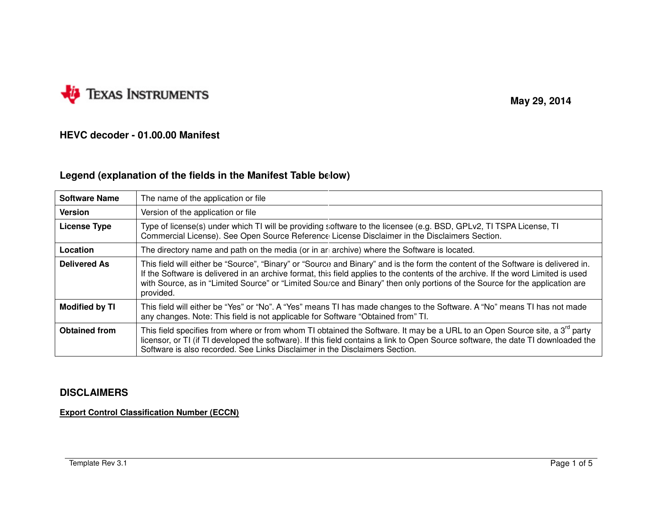

 **May 29, 2014** 

# **HEVC decoder - 01.00.00 Manifest**

# **Legend (explanation of the fields in the Manifest Table below)**

| <b>Software Name</b>  | The name of the application or file                                                                                                                                                                                                                                                                                                                                                                               |  |  |  |  |  |
|-----------------------|-------------------------------------------------------------------------------------------------------------------------------------------------------------------------------------------------------------------------------------------------------------------------------------------------------------------------------------------------------------------------------------------------------------------|--|--|--|--|--|
| <b>Version</b>        | Version of the application or file                                                                                                                                                                                                                                                                                                                                                                                |  |  |  |  |  |
| <b>License Type</b>   | Type of license(s) under which TI will be providing software to the licensee (e.g. BSD, GPLv2, TI TSPA License, TI<br>Commercial License). See Open Source Reference License Disclaimer in the Disclaimers Section.                                                                                                                                                                                               |  |  |  |  |  |
| Location              | The directory name and path on the media (or in an archive) where the Software is located.                                                                                                                                                                                                                                                                                                                        |  |  |  |  |  |
| <b>Delivered As</b>   | This field will either be "Source", "Binary" or "Source and Binary" and is the form the content of the Software is delivered in.<br>If the Software is delivered in an archive format, this field applies to the contents of the archive. If the word Limited is used<br>with Source, as in "Limited Source" or "Limited Source and Binary" then only portions of the Source for the application are<br>provided. |  |  |  |  |  |
| <b>Modified by TI</b> | This field will either be "Yes" or "No". A "Yes" means TI has made changes to the Software. A "No" means TI has not made<br>any changes. Note: This field is not applicable for Software "Obtained from" TI.                                                                                                                                                                                                      |  |  |  |  |  |
| <b>Obtained from</b>  | This field specifies from where or from whom TI obtained the Software. It may be a URL to an Open Source site, a 3 <sup>rd</sup> party<br>licensor, or TI (if TI developed the software). If this field contains a link to Open Source software, the date TI downloaded the<br>Software is also recorded. See Links Disclaimer in the Disclaimers Section.                                                        |  |  |  |  |  |

# **DISCLAIMERS**

**Export Control Classification Number (ECCN)**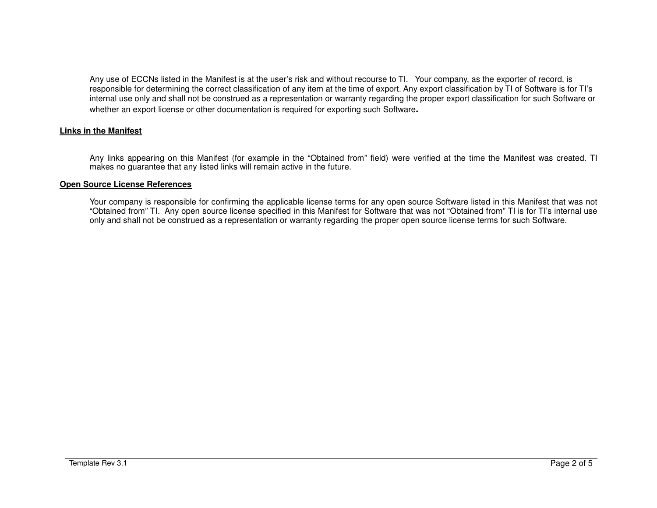Any use of ECCNs listed in the Manifest is at the user's risk and without recourse to TI. Your company, as the exporter of record, is responsible for determining the correct classification of any item at the time of export. Any export classification by TI of Software is for TI's internal use only and shall not be construed as a representation or warranty regarding the proper export classification for such Software or whether an export license or other documentation is required for exporting such Software**.** 

### **Links in the Manifest**

Any links appearing on this Manifest (for example in the "Obtained from" field) were verified at the time the Manifest was created. TI makes no guarantee that any listed links will remain active in the future.

### **Open Source License References**

Your company is responsible for confirming the applicable license terms for any open source Software listed in this Manifest that was not "Obtained from" TI. Any open source license specified in this Manifest for Software that was not "Obtained from" TI is for TI's internal use only and shall not be construed as a representation or warranty regarding the proper open source license terms for such Software.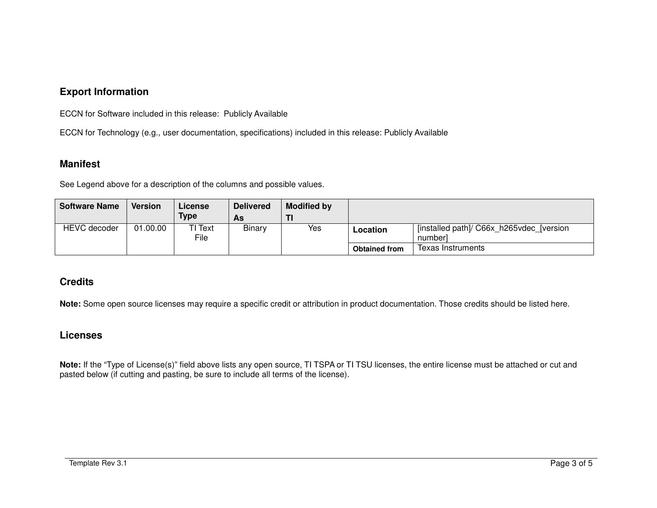# **Export Information**

ECCN for Software included in this release: Publicly Available

ECCN for Technology (e.g., user documentation, specifications) included in this release: Publicly Available

## **Manifest**

See Legend above for a description of the columns and possible values.

| <b>Software Name</b> | <b>Version</b> | License<br><b>Type</b> | <b>Delivered</b><br>As | <b>Modified by</b> |                      |                                                      |
|----------------------|----------------|------------------------|------------------------|--------------------|----------------------|------------------------------------------------------|
| <b>HEVC</b> decoder  | 01.00.00       | TI Text<br>File        | Binary                 | Yes                | Location             | [installed path]/ C66x h265vdec [version]<br>numberl |
|                      |                |                        |                        |                    | <b>Obtained from</b> | Texas Instruments                                    |

# **Credits**

**Note:** Some open source licenses may require a specific credit or attribution in product documentation. Those credits should be listed here.

## **Licenses**

**Note:** If the "Type of License(s)" field above lists any open source, TI TSPA or TI TSU licenses, the entire license must be attached or cut and pasted below (if cutting and pasting, be sure to include all terms of the license).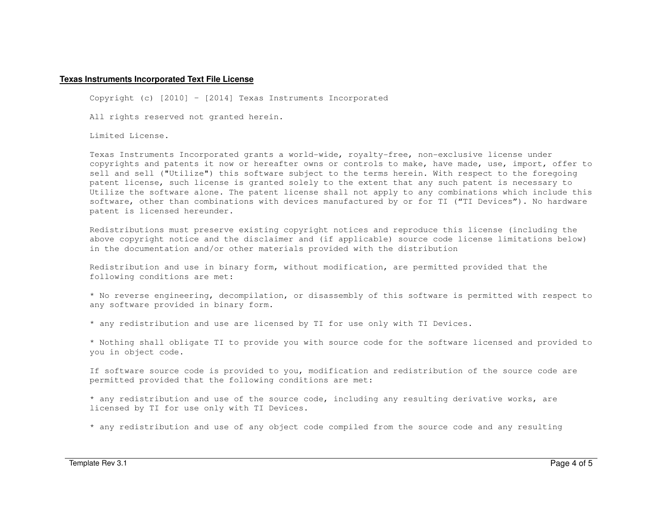#### **Texas Instruments Incorporated Text File License**

Copyright (c) [2010] – [2014] Texas Instruments Incorporated

All rights reserved not granted herein.

Limited License.

Texas Instruments Incorporated grants a world-wide, royalty-free, non-exclusive license under copyrights and patents it now or hereafter owns or controls to make, have made, use, import, offer to sell and sell ("Utilize") this software subject to the terms herein. With respect to the foregoing patent license, such license is granted solely to the extent that any such patent is necessary to Utilize the software alone. The patent license shall not apply to any combinations which include this software, other than combinations with devices manufactured by or for TI ("TI Devices"). No hardware patent is licensed hereunder.

Redistributions must preserve existing copyright notices and reproduce this license (including the above copyright notice and the disclaimer and (if applicable) source code license limitations below) in the documentation and/or other materials provided with the distribution

Redistribution and use in binary form, without modification, are permitted provided that the following conditions are met:

\* No reverse engineering, decompilation, or disassembly of this software is permitted with respect to any software provided in binary form.

\* any redistribution and use are licensed by TI for use only with TI Devices.

\* Nothing shall obligate TI to provide you with source code for the software licensed and provided to you in object code.

If software source code is provided to you, modification and redistribution of the source code are permitted provided that the following conditions are met:

\* any redistribution and use of the source code, including any resulting derivative works, are licensed by TI for use only with TI Devices.

\* any redistribution and use of any object code compiled from the source code and any resulting